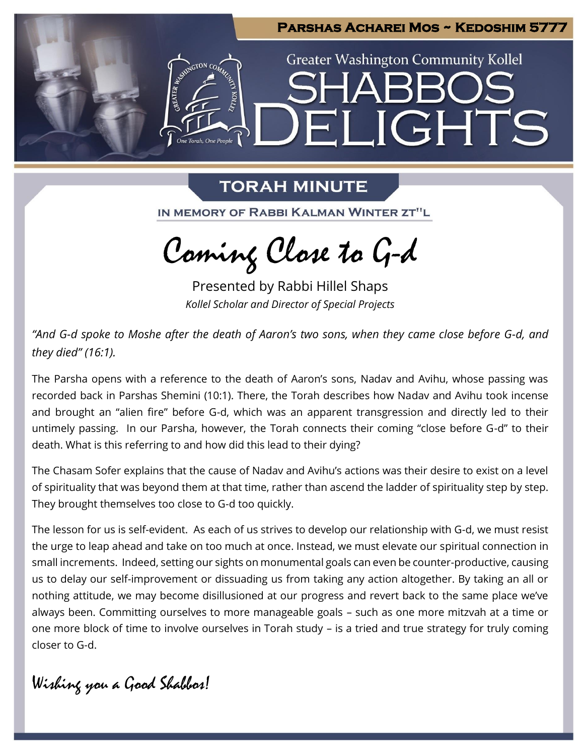

# **TORAH MINUTE**

IN MEMORY OF RABBI KALMAN WINTER ZT"L

Coming Close to G-d

Presented by Rabbi Hillel Shaps *Kollel Scholar and Director of Special Projects*

*"And G-d spoke to Moshe after the death of Aaron's two sons, when they came close before G-d, and they died" (16:1).*

The Parsha opens with a reference to the death of Aaron's sons, Nadav and Avihu, whose passing was recorded back in Parshas Shemini (10:1). There, the Torah describes how Nadav and Avihu took incense and brought an "alien fire" before G-d, which was an apparent transgression and directly led to their untimely passing. In our Parsha, however, the Torah connects their coming "close before G-d" to their death. What is this referring to and how did this lead to their dying?

The Chasam Sofer explains that the cause of Nadav and Avihu's actions was their desire to exist on a level of spirituality that was beyond them at that time, rather than ascend the ladder of spirituality step by step. They brought themselves too close to G-d too quickly.

The lesson for us is self-evident. As each of us strives to develop our relationship with G-d, we must resist the urge to leap ahead and take on too much at once. Instead, we must elevate our spiritual connection in small increments. Indeed, setting our sights on monumental goals can even be counter-productive, causing us to delay our self-improvement or dissuading us from taking any action altogether. By taking an all or nothing attitude, we may become disillusioned at our progress and revert back to the same place we've always been. Committing ourselves to more manageable goals – such as one more mitzvah at a time or one more block of time to involve ourselves in Torah study – is a tried and true strategy for truly coming closer to G-d.

# Wishing you a Good Shabbos!